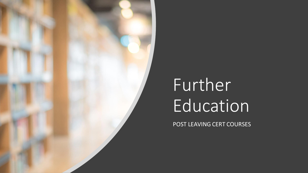

# Further Education

POST LEAVING CERT COURSES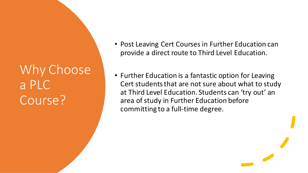#### Why Choose a PLC Course?

- Post Leaving Cert Courses in Further Education can provide a direct route to Third Level Education.
- Further Education is a fantastic option for Leaving Cert students that are not sure about what to study at Third Level Education. Students can 'try out' an area of study in Further Education before committing to a full-time degree.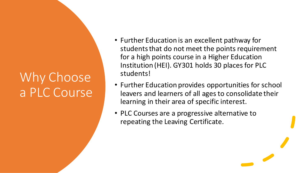## Why Choose a PLC Course

- Further Education is an excellent pathway for students that do not meet the points requirement for a high points course in a Higher Education Institution (HEI). GY301 holds 30 places for PLC students!
- Further Education provides opportunities for school leavers and learners of all ages to consolidate their learning in their area of specific interest.
- PLC Courses are a progressive alternative to repeating the Leaving Certificate.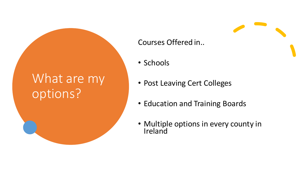#### What are my options?

#### Courses Offered in..

- Schools
- Post Leaving Cert Colleges
- Education and Training Boards
- Multiple options in every county in **Ireland**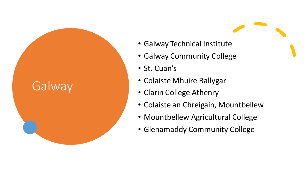#### Galway

- Galway Technical Institute
- Galway Community College
- St. Cuan's
- Colaiste Mhuire Ballygar
- Clarin College Athenry
- Colaiste an Chreigain, Mountbellew
- Mountbellew Agricultural College
- Glenamaddy Community College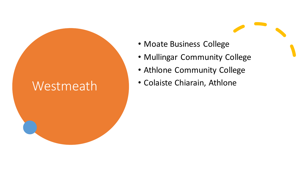#### Westmeath

- Moate Business College
- Mullingar Community College
- Athlone Community College
- Colaiste Chiarain, Athlone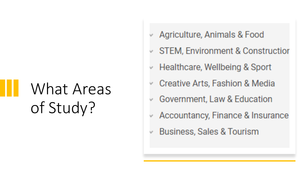# What Areas of Study?

- Agriculture, Animals & Food
- **STEM, Environment & Construction**  $\psi$
- $\vee$  Healthcare, Wellbeing & Sport
- Creative Arts, Fashion & Media
- Government, Law & Education w
- Accountancy, Finance & Insurance  $\psi$
- **Business, Sales & Tourism**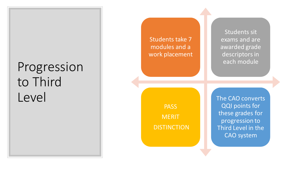#### Progression to Third Level

Students take 7 modules and a work placement

> PASS **MERIT DISTINCTION**

The CAO converts QQI points for these grades for progression to Third Level in the CAO system

Students sit exams and are awarded grade descriptors in each module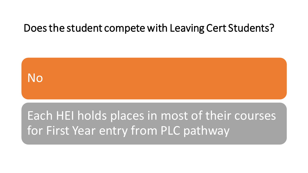#### Does the student compete with Leaving Cert Students?

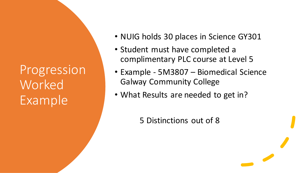Progression **Worked** Example

- NUIG holds 30 places in Science GY301
- Student must have completed a complimentary PLC course at Level 5
- Example 5M3807 Biomedical Science Galway Community College
- What Results are needed to get in?

5 Distinctions out of 8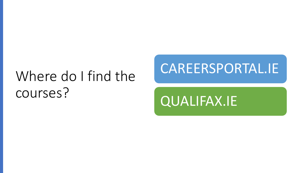# Where do I find the courses?

#### CAREERSPORTAL.IE

#### QUALIFAX.IE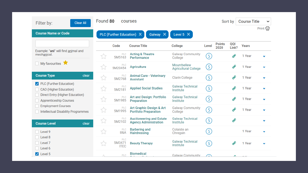| <b>Clear All</b><br>Filter by:                                         | Found 80<br>courses |                                     |                                                                 |                                            |                                   |                       | Sort by                             | <b>Course Title</b> | $\checkmark$ |
|------------------------------------------------------------------------|---------------------|-------------------------------------|-----------------------------------------------------------------|--------------------------------------------|-----------------------------------|-----------------------|-------------------------------------|---------------------|--------------|
| <b>Course Name or Code</b>                                             |                     | PLC (Further Education) X           | Galway X                                                        | Level 5 $\times$                           |                                   |                       |                                     |                     |              |
|                                                                        |                     | Code                                | <b>Course Title</b>                                             | <b>College</b>                             | Level                             | <b>Points</b><br>2020 | QQI<br>Link?                        | <b>Years</b>        |              |
| Example: "ani" will find animal and<br>mechanical.                     | ☆                   | <b>PLC</b><br>5M5163                | <b>Acting &amp; Theatre</b><br>Performance                      | <b>Galway Community</b><br>College         | $\boxed{5}$                       |                       | op                                  | 1 Year              |              |
| My favourites                                                          | ☆                   | <b>PLC</b><br>5M20454               | <b>Agriculture</b>                                              | Mountbellew<br><b>Agricultural College</b> | $\left(5\right)$                  |                       | o                                   | 1 Year              |              |
| <b>Course Type</b><br>clear                                            | ☆                   | <b>PLC</b><br>5M2768                | <b>Animal Care - Veterinary</b><br><b>Assistant</b>             | <b>Clarin College</b>                      | (5)                               |                       | $\boldsymbol{\delta}^{\mathcal{O}}$ | 1 Year              | v            |
| PLC (Further Education)<br>$\sqrt{ }$<br><b>CAO</b> (Higher Education) | ☆                   | <b>PLC</b><br>5M2181                | <b>Applied Social Studies</b>                                   | <b>Galway Technical</b><br>Institute       | $\begin{bmatrix} 5 \end{bmatrix}$ |                       | op                                  | 1 Year              |              |
| Direct Entry (Higher Education)<br><b>Apprenticeship Courses</b>       | ☆                   | <b>PLC</b><br>5M1985                | <b>Art and Design: Portfolio</b><br>Preparation                 | <b>Galway Technical</b><br>Institute       | $\left(5\right)$                  |                       | op                                  | 1 Year              |              |
| <b>Employment Courses</b><br>Intellectual Disability Programmes        | ☆                   | <b>PLC</b><br>5M1995                | Art Graphic Design & Art<br><b>Portfolio Preparation</b>        | <b>Galway Community</b><br>College         | $\left(5\right)$                  |                       | <b>o</b> p                          | 1 Year              |              |
| <b>Course Level</b><br>clear                                           | ☆                   | <b>PLC</b><br>5M2102                | <b>Auctioneering and Estate</b><br><b>Agency Administration</b> | <b>Galway Technical</b><br>Institute       | (5)                               |                       | o                                   |                     |              |
| Level 9                                                                | ☆                   | <b>PLC</b><br>B&A                   | <b>Barbering and</b><br><b>Hairdressing</b>                     | Colaiste an<br>Chregain                    | $\begin{bmatrix} 5 \end{bmatrix}$ |                       |                                     | 1 Year              |              |
| Level 8<br>Level <sub>7</sub><br>Level 6                               | ☆                   | <b>PLC</b><br>5M3471<br><b>ITEC</b> | <b>Beauty Therapy</b>                                           | <b>Galway Technical</b><br>Institute       | $\begin{bmatrix} 5 \end{bmatrix}$ |                       |                                     | 1 Year              |              |
| $\sqrt{ }$ Level 5                                                     | Δ                   | <b>PLC</b>                          | <b>Biomedical</b>                                               | <b>Galway Community</b>                    | - 1                               |                       | △.                                  | 1999                |              |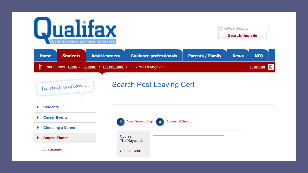

| <b>Search this site</b> | Qualifax Website |
|-------------------------|------------------|
|                         |                  |

 $\overline{1}$ 

| <b>Home</b>                                                                                   | <b>Students</b>          | <b>Adult learners</b> |                          | <b>Guidance professionals</b>   | <b>Parents / Family</b> | <b>News</b> | <b>NFQ</b> |   |
|-----------------------------------------------------------------------------------------------|--------------------------|-----------------------|--------------------------|---------------------------------|-------------------------|-------------|------------|---|
| Ť<br>You are here: Home > Students > Course Finder > PLC Post Leaving Cert<br><b>Bookmark</b> |                          |                       |                          |                                 |                         |             |            | 日 |
|                                                                                               | In this section          |                       |                          | <b>Search Post Leaving Cert</b> |                         |             |            |   |
| <b>Students</b><br>Þ                                                                          |                          |                       |                          |                                 |                         |             |            |   |
| <b>Career Events</b><br>Þ.                                                                    |                          | ?                     | View Search Help         | <b>Advanced Search</b>          |                         |             |            |   |
| Þ                                                                                             | <b>Choosing a Career</b> |                       |                          |                                 |                         |             |            |   |
| <b>Course Finder</b><br>×.                                                                    |                          |                       | Course<br>Title/Keywords |                                 |                         |             |            |   |
| <b>All Courses</b>                                                                            | .                        |                       | <b>Course Code</b>       |                                 |                         |             |            |   |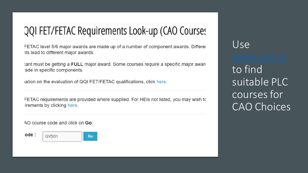#### QQI FET/FETAC Requirements Look-up (CAO Courses

FETAC level 5/6 major awards are made up of a number of component awards. Differer its lead to different major awards.

tant must be getting a FULL major award. Some courses require a specific major award ade in specific components.

ration on the evaluation of QQI FET/FETAC qualifications, click here.

FETAC requirements are provided where supplied. For HEIs not listed, you may wish to lirements by clicking here.

AO course code and click on Go:

ode : GY301 Go

Use to find suitable PLC courses for **CAO Choices**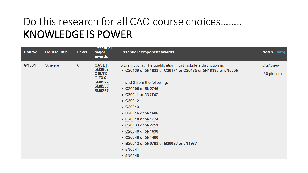#### Do this research for all CAO course choices........ **KNOWLEDGE IS POWER**

| <b>Course</b> | <b>Course Title</b> | Level | <b>Essential</b><br>major<br>awards                                                  | <b>Essential component awards</b>                                                                                                                                                                                                                                                                                                                                                                                              | Notes (Info)               |
|---------------|---------------------|-------|--------------------------------------------------------------------------------------|--------------------------------------------------------------------------------------------------------------------------------------------------------------------------------------------------------------------------------------------------------------------------------------------------------------------------------------------------------------------------------------------------------------------------------|----------------------------|
| GY301         | Science             | 8     | <b>CASLT</b><br>5M3807<br><b>CELTX</b><br><b>CITXX</b><br>5M0529<br>5M0536<br>5M5267 | 5 Distinctions. The qualification must include a distinction in:<br>• C20139 or 5N1833 or C20174 or C20175 or 5N18396 or 5N0556<br>and 3 from the following:<br>• C20006 or 5N2746<br>• C20011 or 5N2747<br>$\cdot$ C20012<br>$\cdot$ C20013<br>• C20016 or 5N1606<br>• C20018 or 5N1774<br>• C20033 or 5N2751<br>• C20040 or 5N1638<br>• C20048 or 5N1460<br>• B20012 or 5N0783 or B20028 or 5N1977<br>$-5N0541$<br>$-5N0548$ | Qta/One/-<br>$(30$ places) |
|               |                     |       |                                                                                      |                                                                                                                                                                                                                                                                                                                                                                                                                                |                            |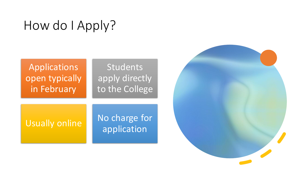### How do I Apply?

#### Applications open typically in February Students apply directly to the College

Usually online No charge for application

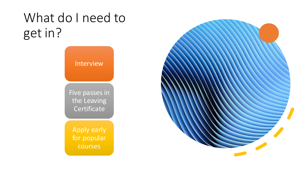### What do I need to get in?

Interview

Five passes in the Leaving **Certificate** 

Apply early for popular courses

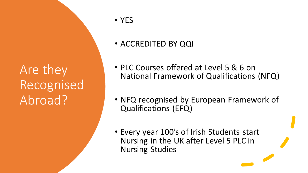#### Are they Recognised Abroad?

- YES
- ACCREDITED BY QQI
- PLC Courses offered at Level 5 & 6 on National Framework of Qualifications (NFQ)
- NFQ recognised by European Framework of Qualifications (EFQ)
- Every year 100's of Irish Students start Nursing in the UK after Level 5 PLC in Nursing Studies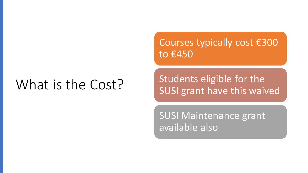## What is the Cost?

Courses typically cost €300 to €450

Students eligible for the SUSI grant have this waived

SUSI Maintenance grant available also